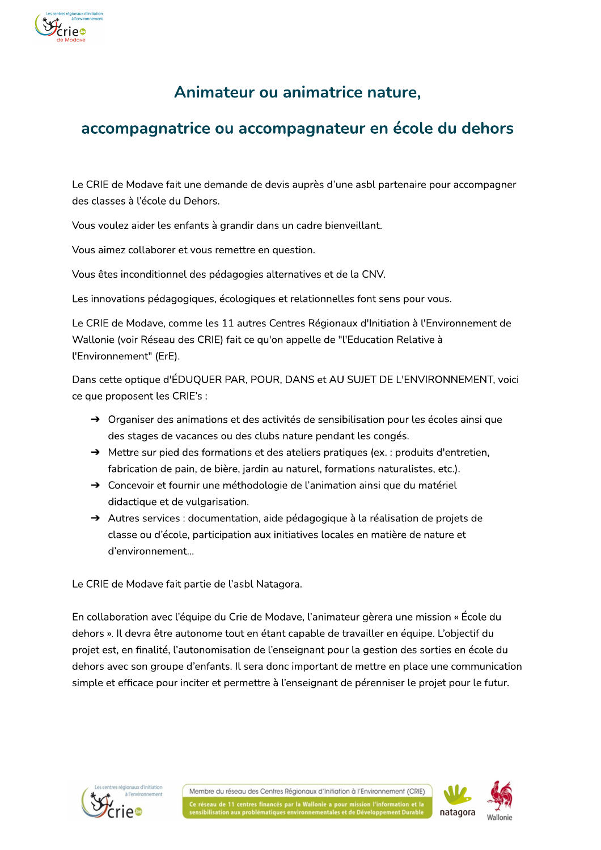

# Animateur ou animatrice nature,

## accompagnatrice ou accompagnateur en école du dehors

Le CRIE de Modave fait une demande de devis auprès d'une asbl partenaire pour accompagner des classes à l'école du Dehors.

Vous voulez aider les enfants à grandir dans un cadre bienveillant.

Vous aimez collaborer et vous remettre en question.

Vous êtes inconditionnel des pédagogies alternatives et de la CNV.

Les innovations pédagogiques, écologiques et relationnelles font sens pour vous.

Le CRIE de Modave, comme les 11 autres Centres Régionaux d'Initiation à l'Environnement de Wallonie (voir Réseau des CRIE) fait ce qu'on appelle de "l'Education Relative à l'Environnement" (ErE).

Dans cette optique d'ÉDUQUER PAR, POUR, DANS et AU SUJET DE L'ENVIRONNEMENT, voici ce que proposent les CRIE's :

- $\rightarrow$  Organiser des animations et des activités de sensibilisation pour les écoles ainsi que des stages de vacances ou des clubs nature pendant les congés.
- A Mettre sur pied des formations et des ateliers pratiques (ex.: produits d'entretien, fabrication de pain, de bière, jardin au naturel, formations naturalistes, etc.).
- → Concevoir et fournir une méthodologie de l'animation ainsi que du matériel didactique et de vulgarisation.
- Autres services : documentation, aide pédagogique à la réalisation de projets de classe ou d'école, participation aux initiatives locales en matière de nature et d'environnement...

Le CRIE de Modave fait partie de l'asbl Natagora.

En collaboration avec l'équipe du Crie de Modave, l'animateur gèrera une mission « École du dehors ». Il devra être autonome tout en étant capable de travailler en équipe. L'objectif du projet est, en finalité, l'autonomisation de l'enseignant pour la gestion des sorties en école du dehors avec son groupe d'enfants. Il sera donc important de mettre en place une communication simple et efficace pour inciter et permettre à l'enseignant de pérenniser le projet pour le futur.



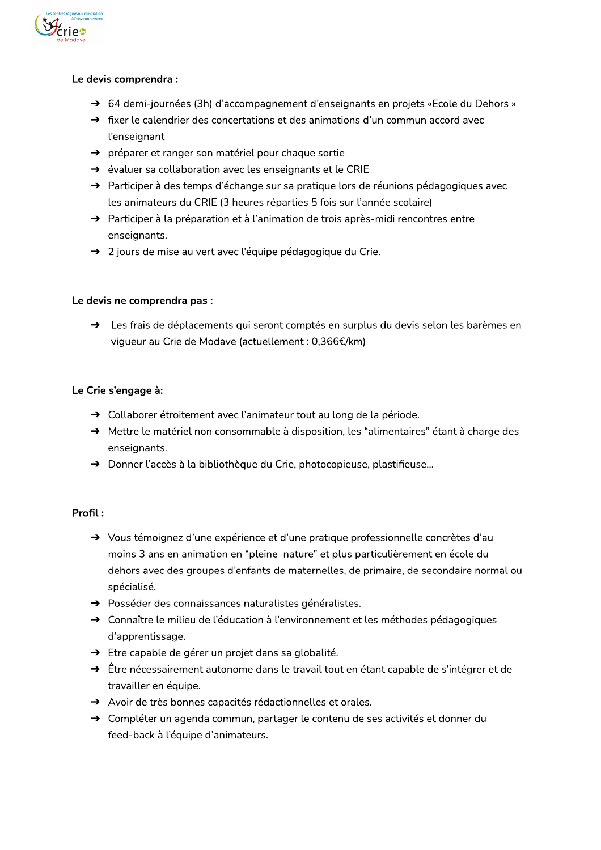

#### Le devis comprendra :

- → 64 demi-journées (3h) d'accompagnement d'enseignants en projets «Ecole du Dehors »
- A fixer le calendrier des concertations et des animations d'un commun accord avec l'enseignant
- → préparer et ranger son matériel pour chaque sortie
- → évaluer sa collaboration avec les enseignants et le CRIE
- A Participer à des temps d'échange sur sa pratique lors de réunions pédagogiques avec les animateurs du CRIE (3 heures réparties 5 fois sur l'année scolaire)
- $\rightarrow$  Participer à la préparation et à l'animation de trois après-midi rencontres entre enseignants.
- → 2 jours de mise au vert avec l'équipe pédagogique du Crie.

#### Le devis ne comprendra pas :

> Les frais de déplacements qui seront comptés en surplus du devis selon les barèmes en vigueur au Crie de Modave (actuellement : 0,366€/km)

#### Le Crie s'engage à:

- > Collaborer étroitement avec l'animateur tout au long de la période.
- → Mettre le matériel non consommable à disposition, les "alimentaires" étant à charge des enseignants.
- > Donner l'accès à la bibliothèque du Crie, photocopieuse, plastifieuse...

### Profil:

- $\rightarrow$  Vous témoignez d'une expérience et d'une pratique professionnelle concrètes d'au moins 3 ans en animation en "pleine nature" et plus particulièrement en école du dehors avec des groupes d'enfants de maternelles, de primaire, de secondaire normal ou spécialisé.
- A Posséder des connaissances naturalistes généralistes.
- → Connaître le milieu de l'éducation à l'environnement et les méthodes pédagogiques d'apprentissage.
- → Etre capable de gérer un projet dans sa globalité.
- $\rightarrow$  Être nécessairement autonome dans le travail tout en étant capable de s'intégrer et de travailler en équipe.
- Avoir de très bonnes capacités rédactionnelles et orales.
- → Compléter un agenda commun, partager le contenu de ses activités et donner du feed-back à l'équipe d'animateurs.